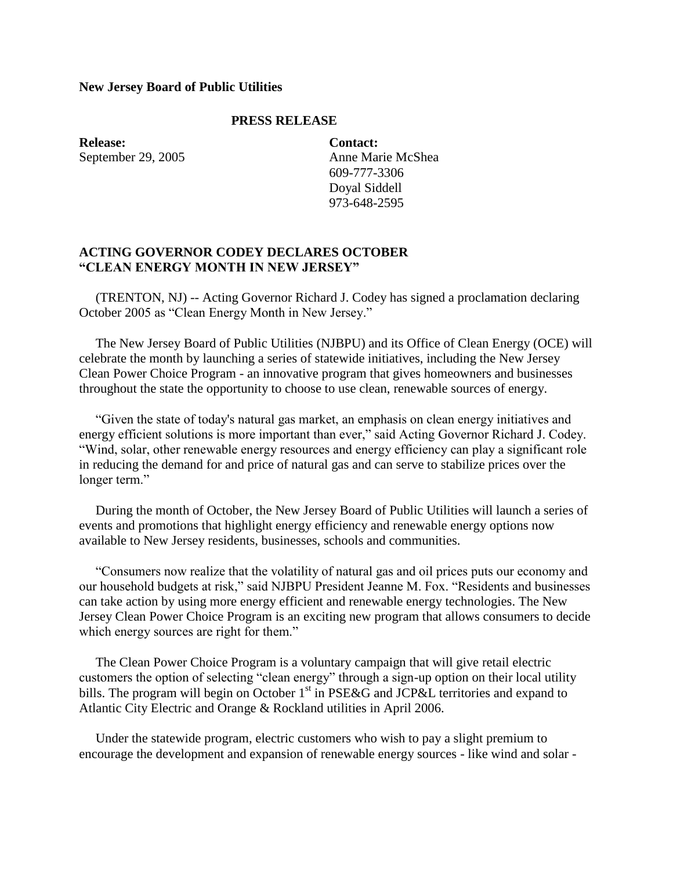## **New Jersey Board of Public Utilities**

## **PRESS RELEASE**

**Release:** September 29, 2005 **Contact:** Anne Marie McShea 609-777-3306 Doyal Siddell 973-648-2595

## **ACTING GOVERNOR CODEY DECLARES OCTOBER "CLEAN ENERGY MONTH IN NEW JERSEY"**

 (TRENTON, NJ) -- Acting Governor Richard J. Codey has signed a proclamation declaring October 2005 as "Clean Energy Month in New Jersey."

 The New Jersey Board of Public Utilities (NJBPU) and its Office of Clean Energy (OCE) will celebrate the month by launching a series of statewide initiatives, including the New Jersey Clean Power Choice Program - an innovative program that gives homeowners and businesses throughout the state the opportunity to choose to use clean, renewable sources of energy.

 "Given the state of today's natural gas market, an emphasis on clean energy initiatives and energy efficient solutions is more important than ever," said Acting Governor Richard J. Codey. "Wind, solar, other renewable energy resources and energy efficiency can play a significant role in reducing the demand for and price of natural gas and can serve to stabilize prices over the longer term."

 During the month of October, the New Jersey Board of Public Utilities will launch a series of events and promotions that highlight energy efficiency and renewable energy options now available to New Jersey residents, businesses, schools and communities.

 "Consumers now realize that the volatility of natural gas and oil prices puts our economy and our household budgets at risk," said NJBPU President Jeanne M. Fox. "Residents and businesses can take action by using more energy efficient and renewable energy technologies. The New Jersey Clean Power Choice Program is an exciting new program that allows consumers to decide which energy sources are right for them."

 The Clean Power Choice Program is a voluntary campaign that will give retail electric customers the option of selecting "clean energy" through a sign-up option on their local utility bills. The program will begin on October  $1<sup>st</sup>$  in PSE&G and JCP&L territories and expand to Atlantic City Electric and Orange & Rockland utilities in April 2006.

 Under the statewide program, electric customers who wish to pay a slight premium to encourage the development and expansion of renewable energy sources - like wind and solar -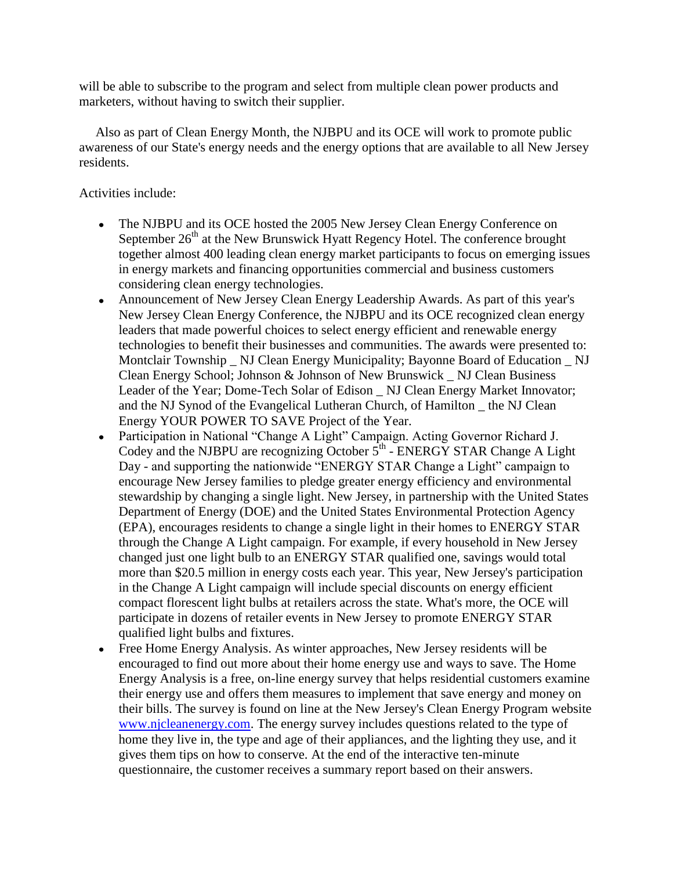will be able to subscribe to the program and select from multiple clean power products and marketers, without having to switch their supplier.

 Also as part of Clean Energy Month, the NJBPU and its OCE will work to promote public awareness of our State's energy needs and the energy options that are available to all New Jersey residents.

## Activities include:

- The NJBPU and its OCE hosted the 2005 New Jersey Clean Energy Conference on September  $26<sup>th</sup>$  at the New Brunswick Hyatt Regency Hotel. The conference brought together almost 400 leading clean energy market participants to focus on emerging issues in energy markets and financing opportunities commercial and business customers considering clean energy technologies.
- Announcement of New Jersey Clean Energy Leadership Awards. As part of this year's  $\bullet$ New Jersey Clean Energy Conference, the NJBPU and its OCE recognized clean energy leaders that made powerful choices to select energy efficient and renewable energy technologies to benefit their businesses and communities. The awards were presented to: Montclair Township \_ NJ Clean Energy Municipality; Bayonne Board of Education \_ NJ Clean Energy School; Johnson & Johnson of New Brunswick \_ NJ Clean Business Leader of the Year; Dome-Tech Solar of Edison \_ NJ Clean Energy Market Innovator; and the NJ Synod of the Evangelical Lutheran Church, of Hamilton \_ the NJ Clean Energy YOUR POWER TO SAVE Project of the Year.
- Participation in National "Change A Light" Campaign. Acting Governor Richard J. Codey and the NJBPU are recognizing October  $5<sup>th</sup>$  - ENERGY STAR Change A Light Day - and supporting the nationwide "ENERGY STAR Change a Light" campaign to encourage New Jersey families to pledge greater energy efficiency and environmental stewardship by changing a single light. New Jersey, in partnership with the United States Department of Energy (DOE) and the United States Environmental Protection Agency (EPA), encourages residents to change a single light in their homes to ENERGY STAR through the Change A Light campaign. For example, if every household in New Jersey changed just one light bulb to an ENERGY STAR qualified one, savings would total more than \$20.5 million in energy costs each year. This year, New Jersey's participation in the Change A Light campaign will include special discounts on energy efficient compact florescent light bulbs at retailers across the state. What's more, the OCE will participate in dozens of retailer events in New Jersey to promote ENERGY STAR qualified light bulbs and fixtures.
- Free Home Energy Analysis. As winter approaches, New Jersey residents will be encouraged to find out more about their home energy use and ways to save. The Home Energy Analysis is a free, on-line energy survey that helps residential customers examine their energy use and offers them measures to implement that save energy and money on their bills. The survey is found on line at the New Jersey's Clean Energy Program website [www.njcleanenergy.com.](http://www.njcleanenergy.com/) The energy survey includes questions related to the type of home they live in, the type and age of their appliances, and the lighting they use, and it gives them tips on how to conserve. At the end of the interactive ten-minute questionnaire, the customer receives a summary report based on their answers.